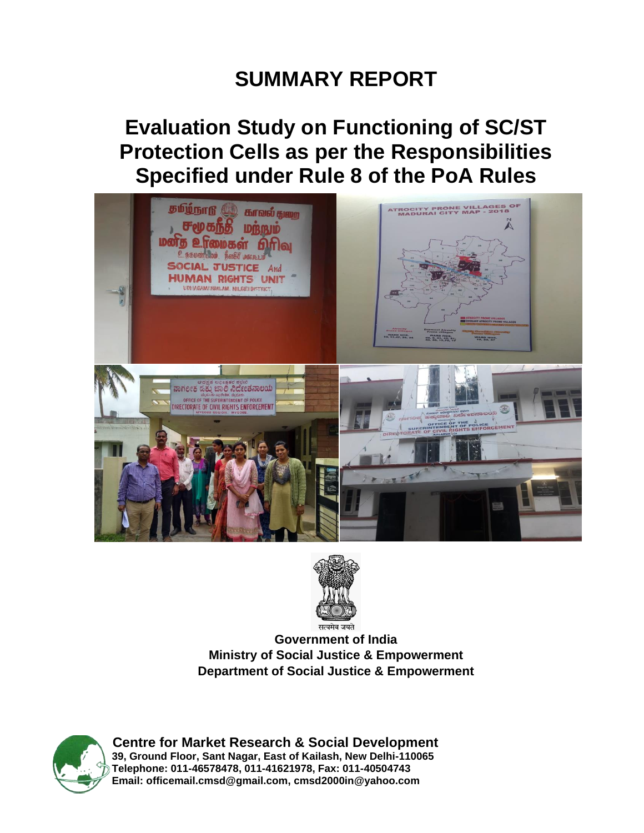# **SUMMARY REPORT**

# **Evaluation Study on Functioning of SC/ST Protection Cells as per the Responsibilities Specified under Rule 8 of the PoA Rules**





**Government of India Ministry of Social Justice & Empowerment Department of Social Justice & Empowerment**



**Centre for Market Research & Social Development 39, Ground Floor, Sant Nagar, East of Kailash, New Delhi-110065 Telephone: 011-46578478, 011-41621978, Fax: 011-40504743 Email: [officemail.cmsd@gmail.com,](mailto:officemail.cmsd@gmail.com) [cmsd2000in@yahoo.com](mailto:cmsd2000in@yahoo.com)**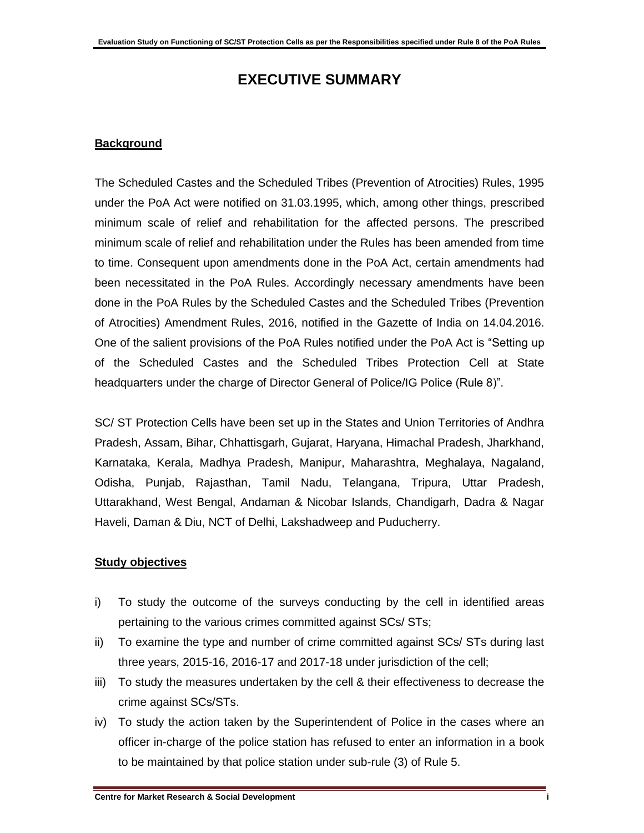## **EXECUTIVE SUMMARY**

#### **Background**

The Scheduled Castes and the Scheduled Tribes (Prevention of Atrocities) Rules, 1995 under the PoA Act were notified on 31.03.1995, which, among other things, prescribed minimum scale of relief and rehabilitation for the affected persons. The prescribed minimum scale of relief and rehabilitation under the Rules has been amended from time to time. Consequent upon amendments done in the PoA Act, certain amendments had been necessitated in the PoA Rules. Accordingly necessary amendments have been done in the PoA Rules by the Scheduled Castes and the Scheduled Tribes (Prevention of Atrocities) Amendment Rules, 2016, notified in the Gazette of India on 14.04.2016. One of the salient provisions of the PoA Rules notified under the PoA Act is "Setting up of the Scheduled Castes and the Scheduled Tribes Protection Cell at State headquarters under the charge of Director General of Police/IG Police (Rule 8)".

SC/ ST Protection Cells have been set up in the States and Union Territories of Andhra Pradesh, Assam, Bihar, Chhattisgarh, Gujarat, Haryana, Himachal Pradesh, Jharkhand, Karnataka, Kerala, Madhya Pradesh, Manipur, Maharashtra, Meghalaya, Nagaland, Odisha, Punjab, Rajasthan, Tamil Nadu, Telangana, Tripura, Uttar Pradesh, Uttarakhand, West Bengal, Andaman & Nicobar Islands, Chandigarh, Dadra & Nagar Haveli, Daman & Diu, NCT of Delhi, Lakshadweep and Puducherry.

#### **Study objectives**

- i) To study the outcome of the surveys conducting by the cell in identified areas pertaining to the various crimes committed against SCs/ STs;
- ii) To examine the type and number of crime committed against SCs/ STs during last three years, 2015-16, 2016-17 and 2017-18 under jurisdiction of the cell;
- iii) To study the measures undertaken by the cell & their effectiveness to decrease the crime against SCs/STs.
- iv) To study the action taken by the Superintendent of Police in the cases where an officer in-charge of the police station has refused to enter an information in a book to be maintained by that police station under sub-rule (3) of Rule 5.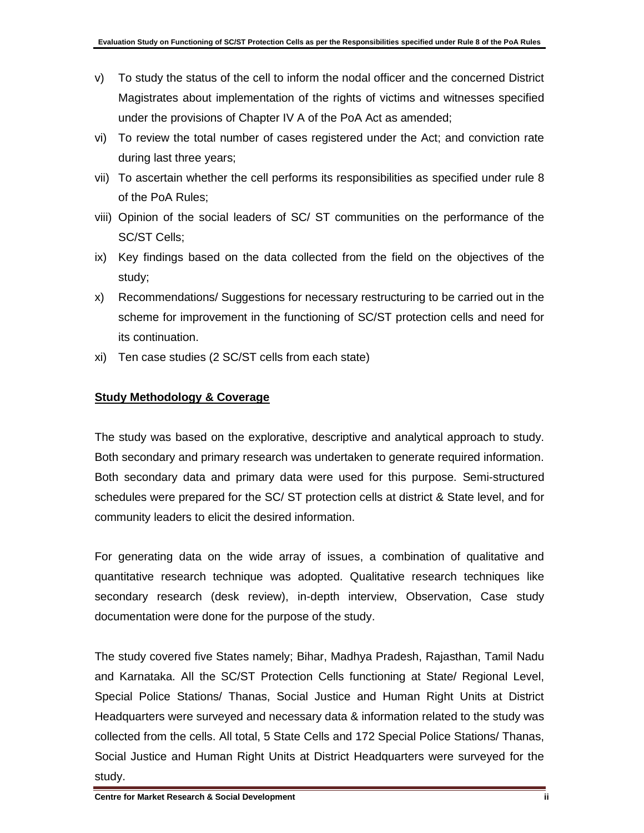- v) To study the status of the cell to inform the nodal officer and the concerned District Magistrates about implementation of the rights of victims and witnesses specified under the provisions of Chapter IV A of the PoA Act as amended;
- vi) To review the total number of cases registered under the Act; and conviction rate during last three years;
- vii) To ascertain whether the cell performs its responsibilities as specified under rule 8 of the PoA Rules;
- viii) Opinion of the social leaders of SC/ ST communities on the performance of the SC/ST Cells;
- ix) Key findings based on the data collected from the field on the objectives of the study;
- x) Recommendations/ Suggestions for necessary restructuring to be carried out in the scheme for improvement in the functioning of SC/ST protection cells and need for its continuation.
- xi) Ten case studies (2 SC/ST cells from each state)

#### **Study Methodology & Coverage**

The study was based on the explorative, descriptive and analytical approach to study. Both secondary and primary research was undertaken to generate required information. Both secondary data and primary data were used for this purpose. Semi-structured schedules were prepared for the SC/ ST protection cells at district & State level, and for community leaders to elicit the desired information.

For generating data on the wide array of issues, a combination of qualitative and quantitative research technique was adopted. Qualitative research techniques like secondary research (desk review), in-depth interview, Observation, Case study documentation were done for the purpose of the study.

The study covered five States namely; Bihar, Madhya Pradesh, Rajasthan, Tamil Nadu and Karnataka. All the SC/ST Protection Cells functioning at State/ Regional Level, Special Police Stations/ Thanas, Social Justice and Human Right Units at District Headquarters were surveyed and necessary data & information related to the study was collected from the cells. All total, 5 State Cells and 172 Special Police Stations/ Thanas, Social Justice and Human Right Units at District Headquarters were surveyed for the study.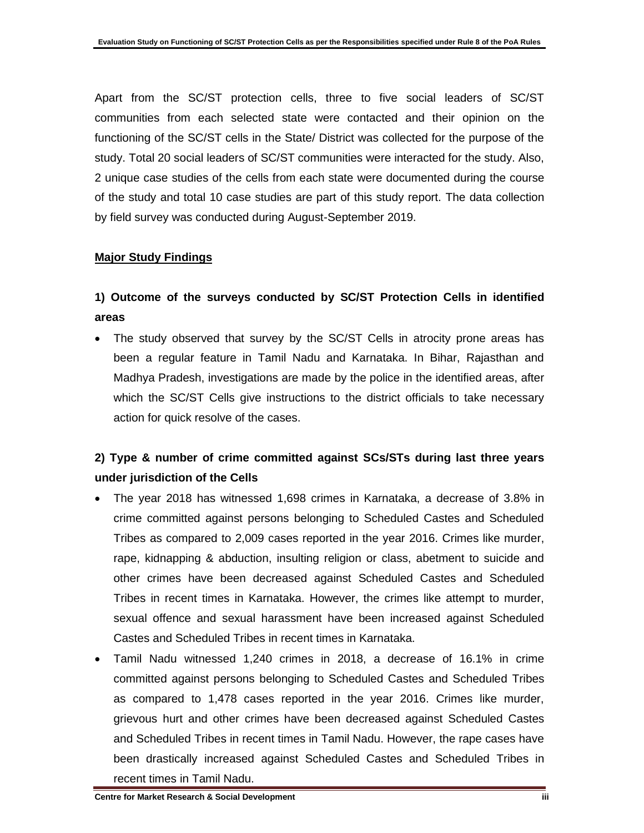Apart from the SC/ST protection cells, three to five social leaders of SC/ST communities from each selected state were contacted and their opinion on the functioning of the SC/ST cells in the State/ District was collected for the purpose of the study. Total 20 social leaders of SC/ST communities were interacted for the study. Also, 2 unique case studies of the cells from each state were documented during the course of the study and total 10 case studies are part of this study report. The data collection by field survey was conducted during August-September 2019.

#### **Major Study Findings**

### **1) Outcome of the surveys conducted by SC/ST Protection Cells in identified areas**

The study observed that survey by the SC/ST Cells in atrocity prone areas has been a regular feature in Tamil Nadu and Karnataka. In Bihar, Rajasthan and Madhya Pradesh, investigations are made by the police in the identified areas, after which the SC/ST Cells give instructions to the district officials to take necessary action for quick resolve of the cases.

#### **2) Type & number of crime committed against SCs/STs during last three years under jurisdiction of the Cells**

- The year 2018 has witnessed 1,698 crimes in Karnataka, a decrease of 3.8% in crime committed against persons belonging to Scheduled Castes and Scheduled Tribes as compared to 2,009 cases reported in the year 2016. Crimes like murder, rape, kidnapping & abduction, insulting religion or class, abetment to suicide and other crimes have been decreased against Scheduled Castes and Scheduled Tribes in recent times in Karnataka. However, the crimes like attempt to murder, sexual offence and sexual harassment have been increased against Scheduled Castes and Scheduled Tribes in recent times in Karnataka.
- Tamil Nadu witnessed 1,240 crimes in 2018, a decrease of 16.1% in crime committed against persons belonging to Scheduled Castes and Scheduled Tribes as compared to 1,478 cases reported in the year 2016. Crimes like murder, grievous hurt and other crimes have been decreased against Scheduled Castes and Scheduled Tribes in recent times in Tamil Nadu. However, the rape cases have been drastically increased against Scheduled Castes and Scheduled Tribes in recent times in Tamil Nadu.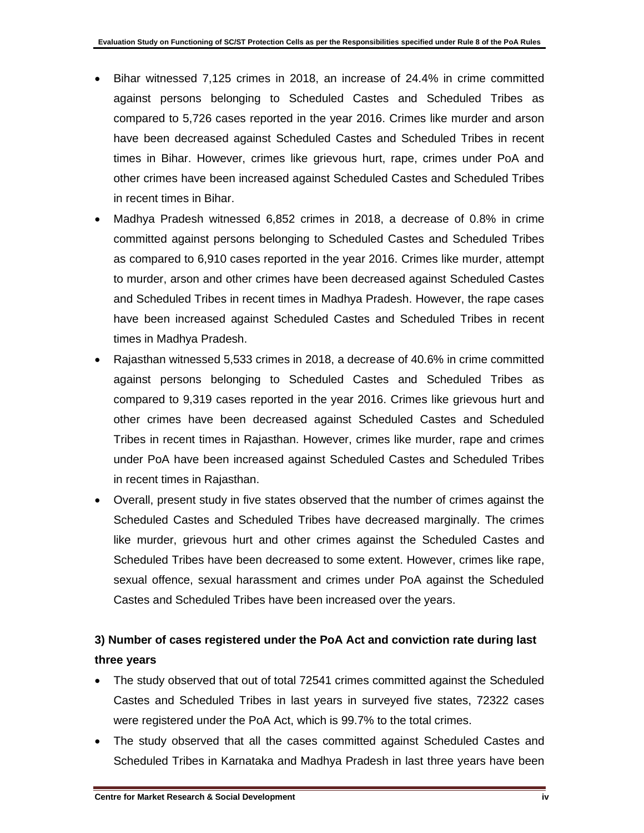- Bihar witnessed 7,125 crimes in 2018, an increase of 24.4% in crime committed against persons belonging to Scheduled Castes and Scheduled Tribes as compared to 5,726 cases reported in the year 2016. Crimes like murder and arson have been decreased against Scheduled Castes and Scheduled Tribes in recent times in Bihar. However, crimes like grievous hurt, rape, crimes under PoA and other crimes have been increased against Scheduled Castes and Scheduled Tribes in recent times in Bihar.
- Madhya Pradesh witnessed 6,852 crimes in 2018, a decrease of 0.8% in crime committed against persons belonging to Scheduled Castes and Scheduled Tribes as compared to 6,910 cases reported in the year 2016. Crimes like murder, attempt to murder, arson and other crimes have been decreased against Scheduled Castes and Scheduled Tribes in recent times in Madhya Pradesh. However, the rape cases have been increased against Scheduled Castes and Scheduled Tribes in recent times in Madhya Pradesh.
- Rajasthan witnessed 5,533 crimes in 2018, a decrease of 40.6% in crime committed against persons belonging to Scheduled Castes and Scheduled Tribes as compared to 9,319 cases reported in the year 2016. Crimes like grievous hurt and other crimes have been decreased against Scheduled Castes and Scheduled Tribes in recent times in Rajasthan. However, crimes like murder, rape and crimes under PoA have been increased against Scheduled Castes and Scheduled Tribes in recent times in Rajasthan.
- Overall, present study in five states observed that the number of crimes against the Scheduled Castes and Scheduled Tribes have decreased marginally. The crimes like murder, grievous hurt and other crimes against the Scheduled Castes and Scheduled Tribes have been decreased to some extent. However, crimes like rape, sexual offence, sexual harassment and crimes under PoA against the Scheduled Castes and Scheduled Tribes have been increased over the years.

## **3) Number of cases registered under the PoA Act and conviction rate during last three years**

- The study observed that out of total 72541 crimes committed against the Scheduled Castes and Scheduled Tribes in last years in surveyed five states, 72322 cases were registered under the PoA Act, which is 99.7% to the total crimes.
- The study observed that all the cases committed against Scheduled Castes and Scheduled Tribes in Karnataka and Madhya Pradesh in last three years have been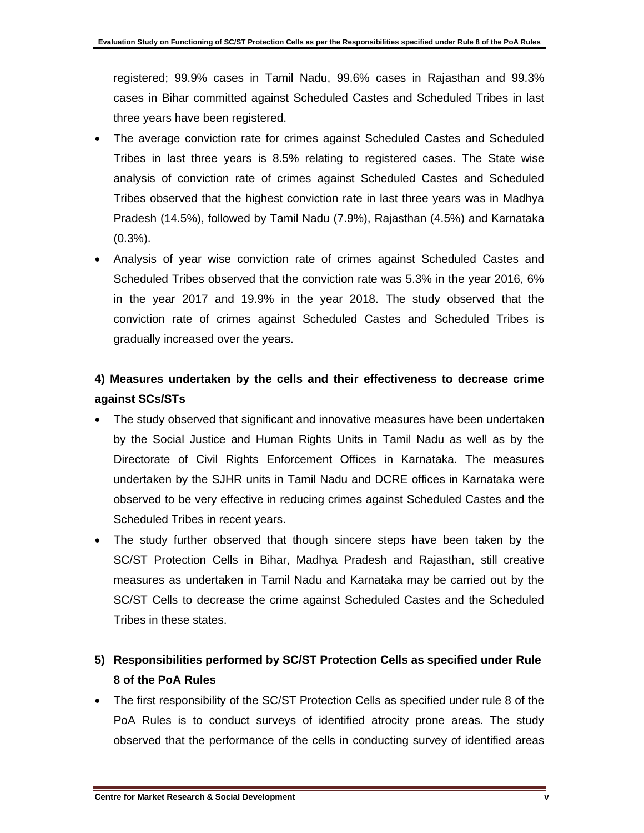registered; 99.9% cases in Tamil Nadu, 99.6% cases in Rajasthan and 99.3% cases in Bihar committed against Scheduled Castes and Scheduled Tribes in last three years have been registered.

- The average conviction rate for crimes against Scheduled Castes and Scheduled Tribes in last three years is 8.5% relating to registered cases. The State wise analysis of conviction rate of crimes against Scheduled Castes and Scheduled Tribes observed that the highest conviction rate in last three years was in Madhya Pradesh (14.5%), followed by Tamil Nadu (7.9%), Rajasthan (4.5%) and Karnataka  $(0.3\%)$ .
- Analysis of year wise conviction rate of crimes against Scheduled Castes and Scheduled Tribes observed that the conviction rate was 5.3% in the year 2016, 6% in the year 2017 and 19.9% in the year 2018. The study observed that the conviction rate of crimes against Scheduled Castes and Scheduled Tribes is gradually increased over the years.

### **4) Measures undertaken by the cells and their effectiveness to decrease crime against SCs/STs**

- The study observed that significant and innovative measures have been undertaken by the Social Justice and Human Rights Units in Tamil Nadu as well as by the Directorate of Civil Rights Enforcement Offices in Karnataka. The measures undertaken by the SJHR units in Tamil Nadu and DCRE offices in Karnataka were observed to be very effective in reducing crimes against Scheduled Castes and the Scheduled Tribes in recent years.
- The study further observed that though sincere steps have been taken by the SC/ST Protection Cells in Bihar, Madhya Pradesh and Rajasthan, still creative measures as undertaken in Tamil Nadu and Karnataka may be carried out by the SC/ST Cells to decrease the crime against Scheduled Castes and the Scheduled Tribes in these states.

## **5) Responsibilities performed by SC/ST Protection Cells as specified under Rule 8 of the PoA Rules**

• The first responsibility of the SC/ST Protection Cells as specified under rule 8 of the PoA Rules is to conduct surveys of identified atrocity prone areas. The study observed that the performance of the cells in conducting survey of identified areas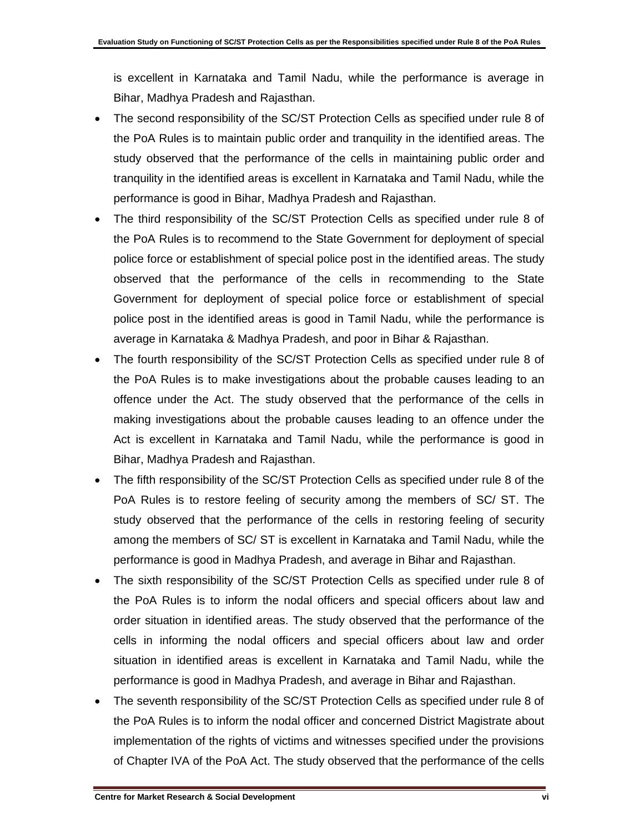is excellent in Karnataka and Tamil Nadu, while the performance is average in Bihar, Madhya Pradesh and Rajasthan.

- The second responsibility of the SC/ST Protection Cells as specified under rule 8 of the PoA Rules is to maintain public order and tranquility in the identified areas. The study observed that the performance of the cells in maintaining public order and tranquility in the identified areas is excellent in Karnataka and Tamil Nadu, while the performance is good in Bihar, Madhya Pradesh and Rajasthan.
- The third responsibility of the SC/ST Protection Cells as specified under rule 8 of the PoA Rules is to recommend to the State Government for deployment of special police force or establishment of special police post in the identified areas. The study observed that the performance of the cells in recommending to the State Government for deployment of special police force or establishment of special police post in the identified areas is good in Tamil Nadu, while the performance is average in Karnataka & Madhya Pradesh, and poor in Bihar & Rajasthan.
- The fourth responsibility of the SC/ST Protection Cells as specified under rule 8 of the PoA Rules is to make investigations about the probable causes leading to an offence under the Act. The study observed that the performance of the cells in making investigations about the probable causes leading to an offence under the Act is excellent in Karnataka and Tamil Nadu, while the performance is good in Bihar, Madhya Pradesh and Rajasthan.
- The fifth responsibility of the SC/ST Protection Cells as specified under rule 8 of the PoA Rules is to restore feeling of security among the members of SC/ ST. The study observed that the performance of the cells in restoring feeling of security among the members of SC/ ST is excellent in Karnataka and Tamil Nadu, while the performance is good in Madhya Pradesh, and average in Bihar and Rajasthan.
- The sixth responsibility of the SC/ST Protection Cells as specified under rule 8 of the PoA Rules is to inform the nodal officers and special officers about law and order situation in identified areas. The study observed that the performance of the cells in informing the nodal officers and special officers about law and order situation in identified areas is excellent in Karnataka and Tamil Nadu, while the performance is good in Madhya Pradesh, and average in Bihar and Rajasthan.
- The seventh responsibility of the SC/ST Protection Cells as specified under rule 8 of the PoA Rules is to inform the nodal officer and concerned District Magistrate about implementation of the rights of victims and witnesses specified under the provisions of Chapter IVA of the PoA Act. The study observed that the performance of the cells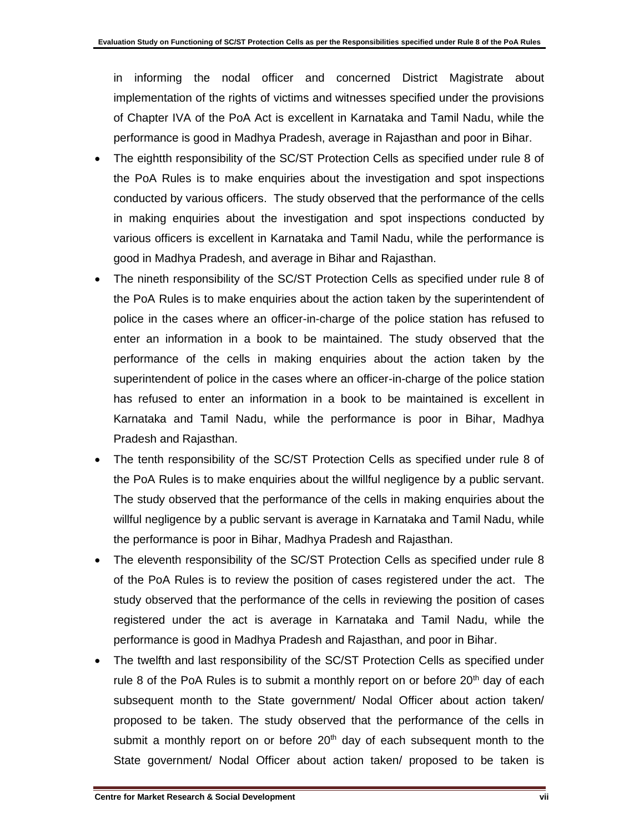in informing the nodal officer and concerned District Magistrate about implementation of the rights of victims and witnesses specified under the provisions of Chapter IVA of the PoA Act is excellent in Karnataka and Tamil Nadu, while the performance is good in Madhya Pradesh, average in Rajasthan and poor in Bihar.

- The eightth responsibility of the SC/ST Protection Cells as specified under rule 8 of the PoA Rules is to make enquiries about the investigation and spot inspections conducted by various officers. The study observed that the performance of the cells in making enquiries about the investigation and spot inspections conducted by various officers is excellent in Karnataka and Tamil Nadu, while the performance is good in Madhya Pradesh, and average in Bihar and Rajasthan.
- The nineth responsibility of the SC/ST Protection Cells as specified under rule 8 of the PoA Rules is to make enquiries about the action taken by the superintendent of police in the cases where an officer-in-charge of the police station has refused to enter an information in a book to be maintained. The study observed that the performance of the cells in making enquiries about the action taken by the superintendent of police in the cases where an officer-in-charge of the police station has refused to enter an information in a book to be maintained is excellent in Karnataka and Tamil Nadu, while the performance is poor in Bihar, Madhya Pradesh and Rajasthan.
- The tenth responsibility of the SC/ST Protection Cells as specified under rule 8 of the PoA Rules is to make enquiries about the willful negligence by a public servant. The study observed that the performance of the cells in making enquiries about the willful negligence by a public servant is average in Karnataka and Tamil Nadu, while the performance is poor in Bihar, Madhya Pradesh and Rajasthan.
- The eleventh responsibility of the SC/ST Protection Cells as specified under rule 8 of the PoA Rules is to review the position of cases registered under the act. The study observed that the performance of the cells in reviewing the position of cases registered under the act is average in Karnataka and Tamil Nadu, while the performance is good in Madhya Pradesh and Rajasthan, and poor in Bihar.
- The twelfth and last responsibility of the SC/ST Protection Cells as specified under rule 8 of the PoA Rules is to submit a monthly report on or before  $20<sup>th</sup>$  day of each subsequent month to the State government/ Nodal Officer about action taken/ proposed to be taken. The study observed that the performance of the cells in submit a monthly report on or before  $20<sup>th</sup>$  day of each subsequent month to the State government/ Nodal Officer about action taken/ proposed to be taken is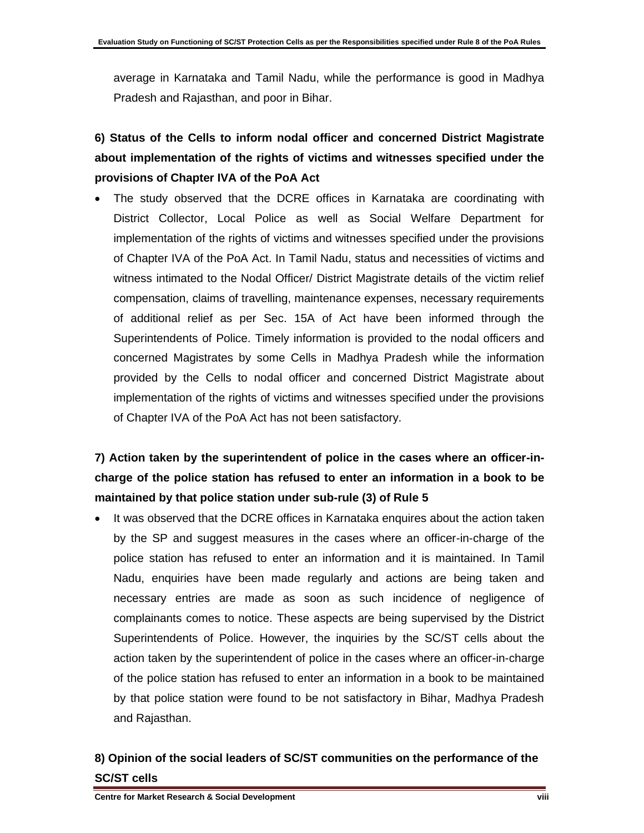average in Karnataka and Tamil Nadu, while the performance is good in Madhya Pradesh and Rajasthan, and poor in Bihar.

# **6) Status of the Cells to inform nodal officer and concerned District Magistrate about implementation of the rights of victims and witnesses specified under the provisions of Chapter IVA of the PoA Act**

The study observed that the DCRE offices in Karnataka are coordinating with District Collector, Local Police as well as Social Welfare Department for implementation of the rights of victims and witnesses specified under the provisions of Chapter IVA of the PoA Act. In Tamil Nadu, status and necessities of victims and witness intimated to the Nodal Officer/ District Magistrate details of the victim relief compensation, claims of travelling, maintenance expenses, necessary requirements of additional relief as per Sec. 15A of Act have been informed through the Superintendents of Police. Timely information is provided to the nodal officers and concerned Magistrates by some Cells in Madhya Pradesh while the information provided by the Cells to nodal officer and concerned District Magistrate about implementation of the rights of victims and witnesses specified under the provisions of Chapter IVA of the PoA Act has not been satisfactory.

# **7) Action taken by the superintendent of police in the cases where an officer-incharge of the police station has refused to enter an information in a book to be maintained by that police station under sub-rule (3) of Rule 5**

It was observed that the DCRE offices in Karnataka enquires about the action taken by the SP and suggest measures in the cases where an officer-in-charge of the police station has refused to enter an information and it is maintained. In Tamil Nadu, enquiries have been made regularly and actions are being taken and necessary entries are made as soon as such incidence of negligence of complainants comes to notice. These aspects are being supervised by the District Superintendents of Police. However, the inquiries by the SC/ST cells about the action taken by the superintendent of police in the cases where an officer-in-charge of the police station has refused to enter an information in a book to be maintained by that police station were found to be not satisfactory in Bihar, Madhya Pradesh and Rajasthan.

#### **8) Opinion of the social leaders of SC/ST communities on the performance of the SC/ST cells**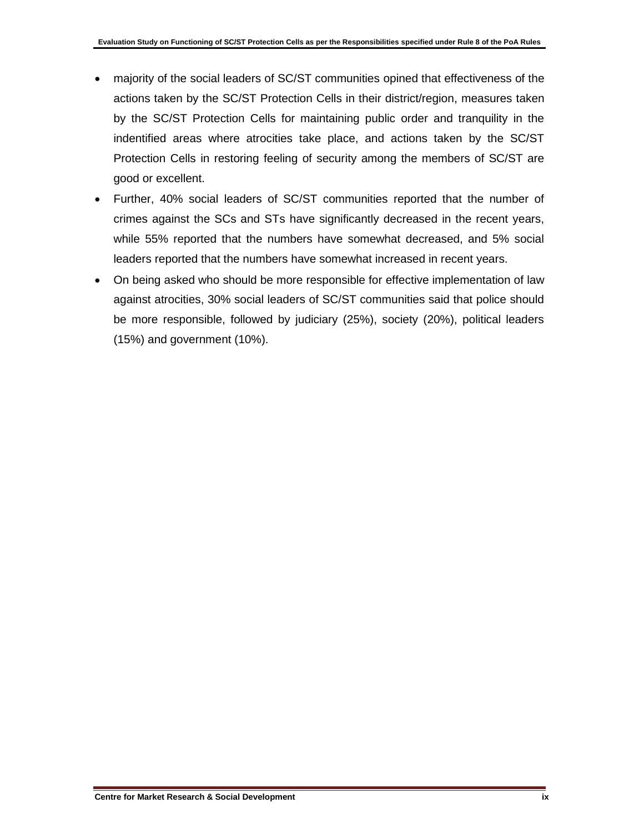- majority of the social leaders of SC/ST communities opined that effectiveness of the actions taken by the SC/ST Protection Cells in their district/region, measures taken by the SC/ST Protection Cells for maintaining public order and tranquility in the indentified areas where atrocities take place, and actions taken by the SC/ST Protection Cells in restoring feeling of security among the members of SC/ST are good or excellent.
- Further, 40% social leaders of SC/ST communities reported that the number of crimes against the SCs and STs have significantly decreased in the recent years, while 55% reported that the numbers have somewhat decreased, and 5% social leaders reported that the numbers have somewhat increased in recent years.
- On being asked who should be more responsible for effective implementation of law against atrocities, 30% social leaders of SC/ST communities said that police should be more responsible, followed by judiciary (25%), society (20%), political leaders (15%) and government (10%).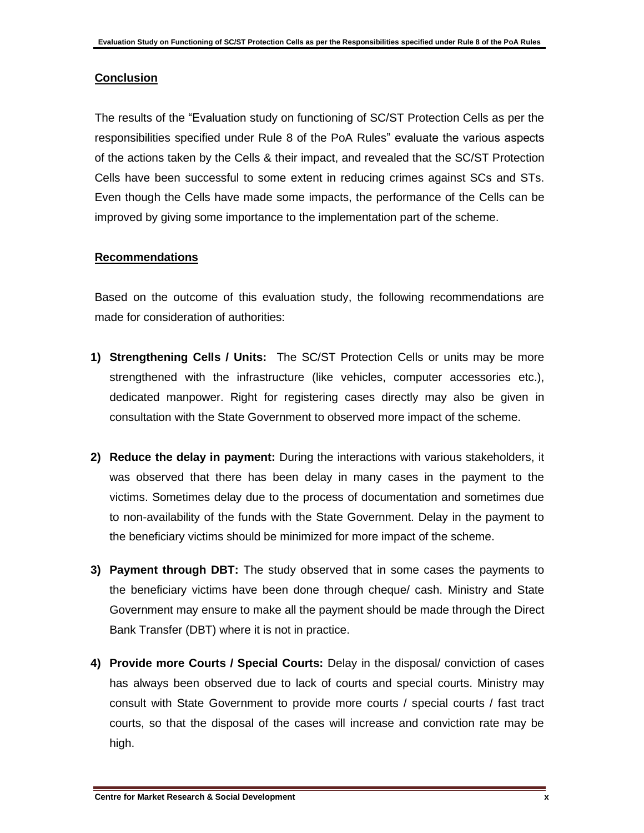#### **Conclusion**

The results of the "Evaluation study on functioning of SC/ST Protection Cells as per the responsibilities specified under Rule 8 of the PoA Rules" evaluate the various aspects of the actions taken by the Cells & their impact, and revealed that the SC/ST Protection Cells have been successful to some extent in reducing crimes against SCs and STs. Even though the Cells have made some impacts, the performance of the Cells can be improved by giving some importance to the implementation part of the scheme.

#### **Recommendations**

Based on the outcome of this evaluation study, the following recommendations are made for consideration of authorities:

- **1) Strengthening Cells / Units:** The SC/ST Protection Cells or units may be more strengthened with the infrastructure (like vehicles, computer accessories etc.), dedicated manpower. Right for registering cases directly may also be given in consultation with the State Government to observed more impact of the scheme.
- **2) Reduce the delay in payment:** During the interactions with various stakeholders, it was observed that there has been delay in many cases in the payment to the victims. Sometimes delay due to the process of documentation and sometimes due to non-availability of the funds with the State Government. Delay in the payment to the beneficiary victims should be minimized for more impact of the scheme.
- **3) Payment through DBT:** The study observed that in some cases the payments to the beneficiary victims have been done through cheque/ cash. Ministry and State Government may ensure to make all the payment should be made through the Direct Bank Transfer (DBT) where it is not in practice.
- **4) Provide more Courts / Special Courts:** Delay in the disposal/ conviction of cases has always been observed due to lack of courts and special courts. Ministry may consult with State Government to provide more courts / special courts / fast tract courts, so that the disposal of the cases will increase and conviction rate may be high.